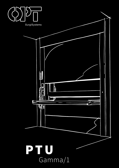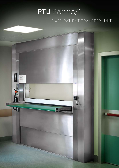# FIXED PATIENT TRANSFER UNIT **PTU** GAMMA/1

E **Concess** o. W  $\blacksquare$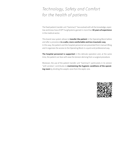# *Technology, Safety and Comfort for the health of patients*

The fixed patient transfer unit "Gamma/1" has evolved with all the knowledge, expertise and know-how of OPT SurgiSystems gained in more than **90 years of experience**  in the medical sector.

This brand new system allows to **transfer the patient** in the Operating Block before and after a procedure **in a safer, more comfortable and less traumatic way**. In this way, the patient and the hospital personnel are prevented from manual lifting and it organizes the access to the Operating Block in a quick and professional way.

**The hospital personnel is supported** in this delicate operation and, at the same time, the patient can face with ease the tension deriving from a surgical procedure.

Moreover, the use of the patient transfer unit "Gamma/1", particularly in its version "with window", contributes to **maintaining the hygienic conditions of the operat**ing room by dividing the aseptic zone from the septic one.

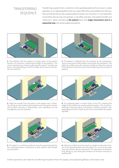### TRANSFERRING SEQUENCE

Transferring a patient from a stretcher to the operating table and vice versa is a daily operation in an Operating Block that can imply difficulties and problems for both patient and OR personnel. By using the patient transfer unit "Gamma /1" such operation can be done also by only one operator, in all safety and ease. The patient transfer unit "Gamma/1" allows transferring **the patient** both with **single movements and in a sequential way** with prearranged procedures.



**1.** The stretcher with the patient is moved closer to the patient transfer unit Gamma/1, adjusting the height of the platform. The correct positioning is done by pressing the button" transfer top down" and, depending on the PTU model, by the sensors that detect the stretcher.



**2.** The patient is collected from the stretcher by the contemporaneous movements of belt rotation and transfer top translation. The table top is lifted up to the maximum height to allow the removal of the stretcher and at the same time the opening of the window (if present).



**3.** Table top transfer from the septic to the aseptic area. Collecting, lifting up and transferring the patient and closing the window can be done manually or sequentially. Such operations can be managed by only one operator.



**4.** The operating table is moved closer to the PTU, checking the height of the transfer top and the patient's position. The correct positioning is done by means of the button "transfer top down" and, depending on the PTU model, by the sensors that detect the operating table.



**5.** The patient is carefully transferred onto the operating table by the contemporaneous movements of belt rotation and transfer top translation.



**6.** Table top is lifted up to the maximum height to allow the removal of the operating table with the patient on it and at the same time the window closure (if present). The operations of downloading, lifting up, and closing the window can be done manually or sequentially.

Similar operations are made for transferring the patient from the aseptic zone (Operating Block) to the septic zone.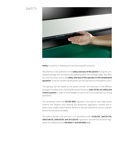# SAFETY



**Safety** is a priority in drawing and manufacturing OPT products.

The attention is focused both on the **safety and ease of the patient** during the complicated passage from the bed to the operating table with drainage tubes, drip-feed, etc. (and vice versa) and on the **safety and ease of the operator in this complicated operation**. Times for transferring the patient are reduced and so is the patient's strain.

The operator can be helped by the patient transfer unit Gamma/1 in the different passages of loading and unloading the patient thanks to **state-of-the art safety and control systems** in order to avoid dangers in case of lack of concentration or wrong operations.

The companies, which has **EN ISO 9001** regulation, has used for years high quality material and respects strict drawing and production regulations, controls and inspects every single product before delivery to the end customer to ensure a perfect level of functionality and safety.

The patient transfer unit Gamma/1 is in accordance with 9**3/42/CEE, 2007/47/CE, 2004/108/CE, 2006/95/EC and 2011/65/CE** regulations and with the technical regulations for medical devices **EN 60601-1 and EN 60601-1-2**.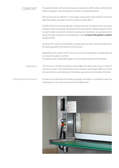| COMFORT                         | The patient transfer unit Gamma/1 has been conceived to offer the best comfort for the<br>patient during pre- and post-operative transfers in the Operating Block.                                                                                                                                                                                                          |
|---------------------------------|-----------------------------------------------------------------------------------------------------------------------------------------------------------------------------------------------------------------------------------------------------------------------------------------------------------------------------------------------------------------------------|
|                                 | We have focused our attention on this aspect, being aware of the patient's emotional<br>state both before a procedure and the confusional state after it.                                                                                                                                                                                                                   |
|                                 | Therefore Gamma/1 ensures delicate, constant and linear movements both during the<br>loading and the unloading of the patient with its conveniently calibrated speed in order<br>to avoid sudden movements. All electro-mechanical movements are operated by the<br>system through acceleration and deceleration ramps to ensure the patient's comfort<br>during transfers. |
|                                 | Using the PTU avoids uncomfortable and potentially traumatic manual transfers from<br>the operating table to the stretcher and vice versa.                                                                                                                                                                                                                                  |
|                                 | Depending on the model, the PTU Gamma/1 can be completed with a heated table top<br>to improve the patient's comfort.<br>The table top has all belevelled edges to avoid possible collision with the patient.                                                                                                                                                               |
| Ergonomics                      | The structure is smooth and without sharp edges and allows easy access in order to<br>maintain or clean it. The transfer table has an excellent useful length (1880 mm) and at<br>the same time an overall dimension that allows easy access to the borders of the bed.                                                                                                     |
| <b>Cleaning and maintenance</b> | To clean the transfer belt of the table top quickly and safely it is possible to press the<br>rotating button, thus cleaning easily also the hidden parts.                                                                                                                                                                                                                  |

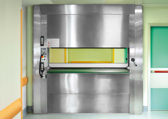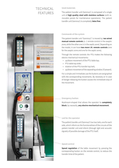# TECHNICAL FEATURES

#### **Used materials**

The patient transfer unit Gamma/1 is composed of a single unit of **high quality steel with stainless surfaces** (with removable panels for maintenance operations). The patient transfer unit Gamma/1 is completely **latex free**.



#### **Commands of the system**

The patient transfer unit "Gamma/1" is moved by t**wo wired manual remote controls** (n. 1 remote control in the aseptic zone, while the other one is in the septic zone). Depending on the model, it can have **two more I.R. remote controls** (one for the aseptic zone and one for the septic zone).

Through the remote controls the PTU makes the following electro-mechanical movements:

- • up/down movement of the PTU table top;
- PTU table top slide;
- rotation of the PTU transfer top belt;
- • up/down movement of the separating window (if present).

For a simple and immediate use the buttons are serigraphed with the corresponding movements. By necessity or in case of danger releasing the button causes the immediate stop of the movement.

#### **Emergency button**

Mushroom-shaped that allows the operator to **completely block**, by necessity, **any electro-mechanical movement**.

#### **Led for the operator**

The patient transfer unit Gamma/1 has two leds, one for each side, which inform on the functionalities of the circuits of the patient transfer unit and inform (through light and acoustic signals) of possible damage of the PTU itself.

#### **Speed control**

**Speed regulation** of the table movement by pressing the corresponding button on the remote control, to reduce the transfer time of the patient.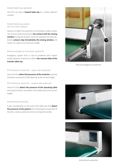#### **Heated table top (optional)**

The PTU can have a **heated table top** for a better patient's comfort.

#### **Patient detecting system (for PTU with window)**

Sensors to detect the patients on the borders (and/or obstacles of every kind) that prevent **the contact with the closing window** during the transfer. Once the obstacle has been detected, **sensors stop immediately the closing window** and make it re- open to its maximum height.

#### **Manual emergency movement (optional)**

Emergency system that in case of problems with motors and/or absence of electricity allows **the manual slide of the transfer table top**.

#### **PTU Gamma/1 sensor kit – septic side (optional)**

Sensor kit that **detect the presence of the stretcher** and stop the down movement of the table top at the correct height.

**PTU Gamma/1 sensor kit – aseptic side (optional)**

Sensor kit that **detect the presence of the operating table**  and stop the down movement of the table top at the correct height.

#### **Anticollision protection**

A pair of photocells on the side of the table top that **detect the presence of the patient** and, blocking the movement of the belt, create a protection barrier during the transfer.



Manual emergency movement





Anticollision protection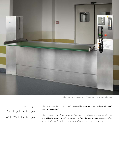

**The patient transfer unit "Gamma/1" without window**

VERSION "WITHOUT WINDOW" AND "WITH WINDOW" The patient transfer unit "Gamma/1" is available in **two versions "without window"**  and **"with window".** 

The closing window of the PTU version "with window" allows the patient transfer unit to **divide the aseptic zone** (Operating Block) **from the septic zone**, before and after the patient's transfer with clear advantages from the hygienic point of view.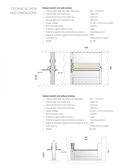## TECHNICAL DATA AND DIMENSIONS

#### **Patient transfer unit with window**

- Load transfer table top height adjustable: 620 1.030 (mm)
- Useful length of the table top: 1.880 mm.
- • overall dimensions of the table top: 1.925 mm
- Passage light of the load table top: 2003 mm.
- 
- • Nominal power input: 2.000 VA
- Protection against electric shock: Class I
- Protection against direct and indirect contacts: Type B equipment
- • Degree of protection against harmful ingress of water: IPX4
- Load capacity:  $\qquad \qquad$  180 kg patient's weight
- Weight: Kg. 695



- 
- 
- Supply voltage:  $AC 230 V 50 Hz$  mono-phase
	-

- 
- -



#### **Patient transfer unit without window**

- Load transfer table top electrically adjustable: 620 1.020 (mm)
- Useful length of the table top: 1.880 mm.
- • overall dimensions of the table top: 1.925 mm
- • Passage light of the load table top: 2003 mm.
- Supply voltage:  $AC 230 V 50 Hz$  mono-phase
- • Nominal power input: 2.000 VA
- Protection against electric shock: Class I
- Protection against direct and indirect contacts: Type B equipment
- • Degree of protection against harmful ingress of water: IPX4
- • Load capacity: 180 kg patient's weight
- Weight: Kg. 630
- 2630 1880 龍 D 1500 Max 700 mm Max 1020 mm
- 
- 
- 
- 
- 
- 
- 
- -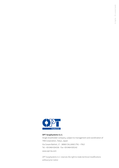

#### **OPT SurgiSystems S.r.l.**

Single shareholder company, subject to management and coordination of TKB Corporation, Tokyo, Japan Via Cesare Battisti, 17 - 38060 CALLIANO (TN) – ITALY Tel. +39 0464 834336 - Fax +39 0464 835142 www.opt-ita.com

OPT SurgiSystems S.r.l. reserves the right to make technical modifications *without prior notice*